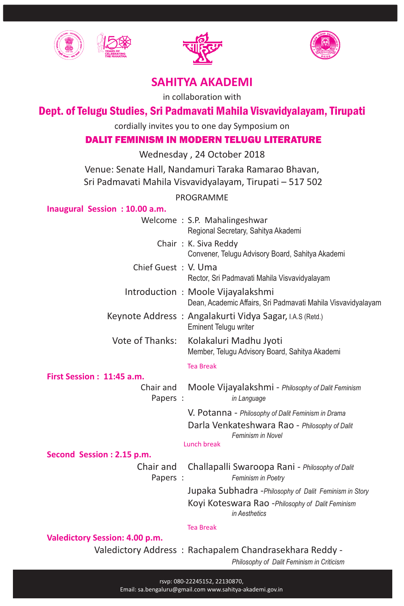





## **SAHITYA AKADEMI**

in collaboration with

### Dept. of Telugu Studies, Sri Padmavati Mahila Visvavidyalayam, Tirupati

cordially invites you to one day Symposium on

#### DALIT FEMINISM IN MODERN TELUGU LITERATURE

Wednesday , 24 October 2018

Venue: Senate Hall, Nandamuri Taraka Ramarao Bhavan, Sri Padmavati Mahila Visvavidyalayam, Tirupati – 517 502

PROGRAMME

**Inaugural Session : 10.00 a.m.**

|                                  | Welcome: S.P. Mahalingeshwar<br>Regional Secretary, Sahitya Akademi                                                                     |
|----------------------------------|-----------------------------------------------------------------------------------------------------------------------------------------|
|                                  | Chair: K. Siva Reddy<br>Convener, Telugu Advisory Board, Sahitya Akademi                                                                |
| Chief Guest: V. Uma              | Rector, Sri Padmavati Mahila Visvavidyalayam                                                                                            |
|                                  | Introduction: Moole Vijayalakshmi<br>Dean, Academic Affairs, Sri Padmavati Mahila Visvavidyalayam                                       |
|                                  | Keynote Address: Angalakurti Vidya Sagar, I.A.S (Retd.)<br>Eminent Telugu writer                                                        |
| Vote of Thanks:                  | Kolakaluri Madhu Jyoti<br>Member, Telugu Advisory Board, Sahitya Akademi                                                                |
|                                  | <b>Tea Break</b>                                                                                                                        |
| <b>First Session: 11:45 a.m.</b> |                                                                                                                                         |
| Chair and<br>Papers :            | Moole Vijayalakshmi - Philosophy of Dalit Feminism<br>in Language                                                                       |
|                                  | V. Potanna - Philosophy of Dalit Feminism in Drama<br>Darla Venkateshwara Rao - Philosophy of Dalit<br>Feminism in Novel<br>Lunch break |
| Second Session: 2.15 p.m.        |                                                                                                                                         |
| Chair and<br>Papers :            | Challapalli Swaroopa Rani - Philosophy of Dalit<br>Feminism in Poetry                                                                   |
|                                  | Jupaka Subhadra - Philosophy of Dalit Feminism in Story<br>Koyi Koteswara Rao -Philosophy of Dalit Feminism<br>in Aesthetics            |
|                                  | <b>Tea Break</b>                                                                                                                        |

**Valedictory Session: 4.00 p.m.**

Valedictory Address : Rachapalem Chandrasekhara Reddy -

*Philosophy of Dalit Feminism in Criticism*